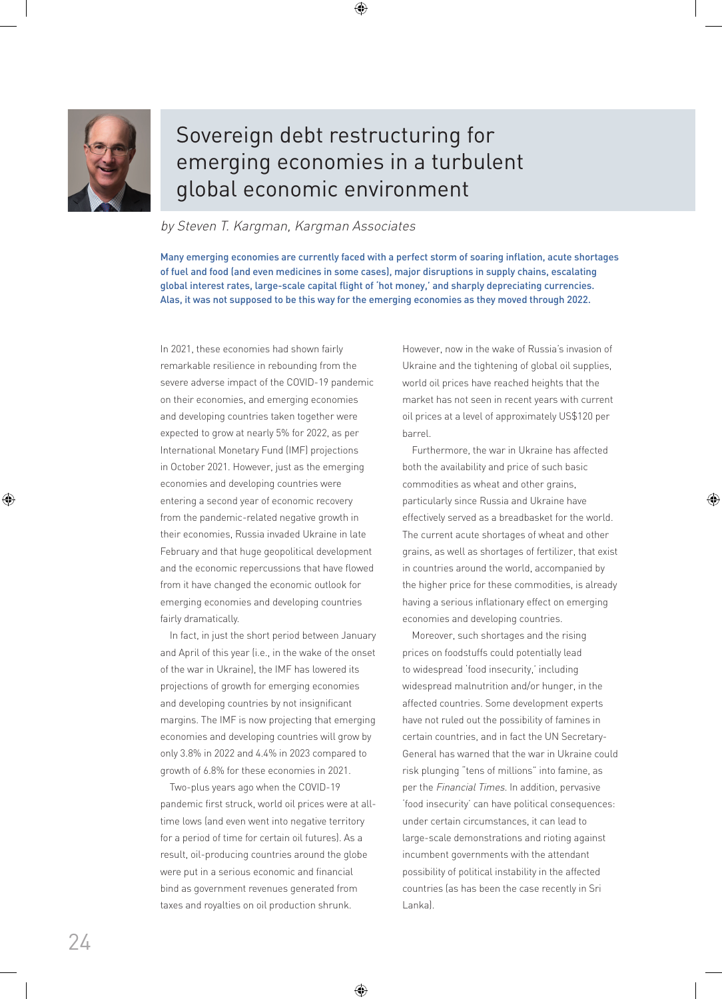

# Sovereign debt restructuring for emerging economies in a turbulent global economic environment

### by Steven T. Kargman, Kargman Associates

Many emerging economies are currently faced with a perfect storm of soaring inflation, acute shortages of fuel and food (and even medicines in some cases), major disruptions in supply chains, escalating global interest rates, large-scale capital flight of 'hot money,' and sharply depreciating currencies. Alas, it was not supposed to be this way for the emerging economies as they moved through 2022.

In 2021, these economies had shown fairly remarkable resilience in rebounding from the severe adverse impact of the COVID-19 pandemic on their economies, and emerging economies and developing countries taken together were expected to grow at nearly 5% for 2022, as per International Monetary Fund (IMF) projections in October 2021. However, just as the emerging economies and developing countries were entering a second year of economic recovery from the pandemic-related negative growth in their economies, Russia invaded Ukraine in late February and that huge geopolitical development and the economic repercussions that have flowed from it have changed the economic outlook for emerging economies and developing countries fairly dramatically.

In fact, in just the short period between January and April of this year (i.e., in the wake of the onset of the war in Ukraine), the IMF has lowered its projections of growth for emerging economies and developing countries by not insignificant margins. The IMF is now projecting that emerging economies and developing countries will grow by only 3.8% in 2022 and 4.4% in 2023 compared to growth of 6.8% for these economies in 2021.

Two-plus years ago when the COVID-19 pandemic first struck, world oil prices were at alltime lows (and even went into negative territory for a period of time for certain oil futures). As a result, oil-producing countries around the globe were put in a serious economic and financial bind as government revenues generated from taxes and royalties on oil production shrunk.

However, now in the wake of Russia's invasion of Ukraine and the tightening of global oil supplies, world oil prices have reached heights that the market has not seen in recent years with current oil prices at a level of approximately US\$120 per barrel.

Furthermore, the war in Ukraine has affected both the availability and price of such basic commodities as wheat and other grains, particularly since Russia and Ukraine have effectively served as a breadbasket for the world. The current acute shortages of wheat and other grains, as well as shortages of fertilizer, that exist in countries around the world, accompanied by the higher price for these commodities, is already having a serious inflationary effect on emerging economies and developing countries.

Moreover, such shortages and the rising prices on foodstuffs could potentially lead to widespread 'food insecurity,' including widespread malnutrition and/or hunger, in the affected countries. Some development experts have not ruled out the possibility of famines in certain countries, and in fact the UN Secretary-General has warned that the war in Ukraine could risk plunging "tens of millions" into famine, as per the Financial Times. In addition, pervasive 'food insecurity' can have political consequences: under certain circumstances, it can lead to large-scale demonstrations and rioting against incumbent governments with the attendant possibility of political instability in the affected countries (as has been the case recently in Sri Lanka).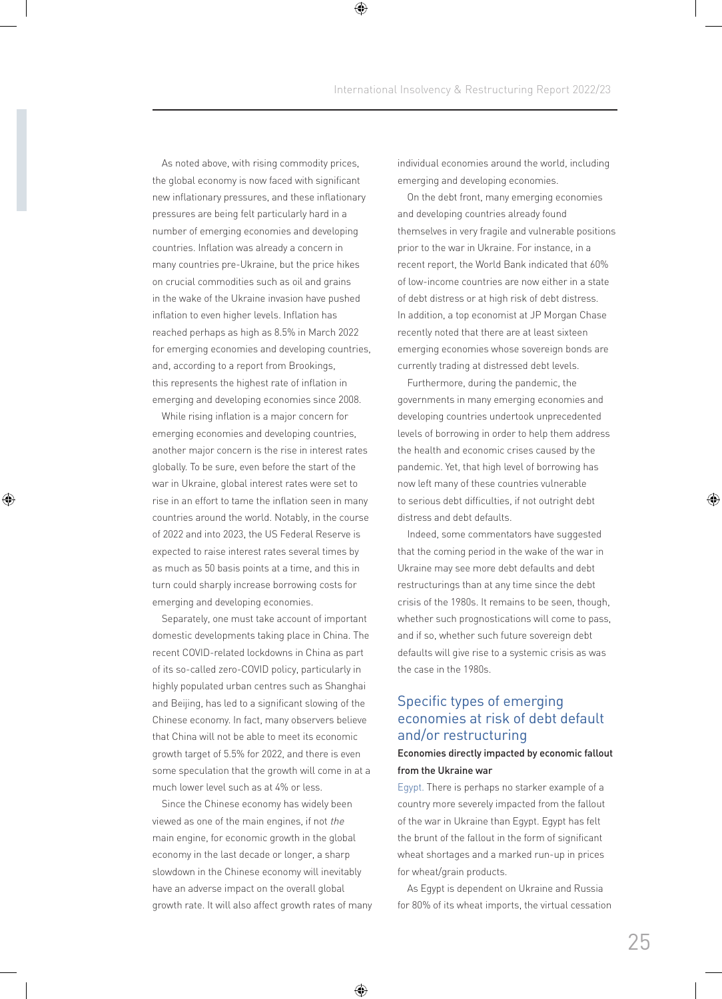As noted above, with rising commodity prices, the global economy is now faced with significant new inflationary pressures, and these inflationary pressures are being felt particularly hard in a number of emerging economies and developing countries. Inflation was already a concern in many countries pre-Ukraine, but the price hikes on crucial commodities such as oil and grains in the wake of the Ukraine invasion have pushed inflation to even higher levels. Inflation has reached perhaps as high as 8.5% in March 2022 for emerging economies and developing countries, and, according to a report from Brookings, this represents the highest rate of inflation in emerging and developing economies since 2008.

While rising inflation is a major concern for emerging economies and developing countries, another major concern is the rise in interest rates globally. To be sure, even before the start of the war in Ukraine, global interest rates were set to rise in an effort to tame the inflation seen in many countries around the world. Notably, in the course of 2022 and into 2023, the US Federal Reserve is expected to raise interest rates several times by as much as 50 basis points at a time, and this in turn could sharply increase borrowing costs for emerging and developing economies.

Separately, one must take account of important domestic developments taking place in China. The recent COVID-related lockdowns in China as part of its so-called zero-COVID policy, particularly in highly populated urban centres such as Shanghai and Beijing, has led to a significant slowing of the Chinese economy. In fact, many observers believe that China will not be able to meet its economic growth target of 5.5% for 2022, and there is even some speculation that the growth will come in at a much lower level such as at 4% or less.

Since the Chinese economy has widely been viewed as one of the main engines, if not the main engine, for economic growth in the global economy in the last decade or longer, a sharp slowdown in the Chinese economy will inevitably have an adverse impact on the overall global growth rate. It will also affect growth rates of many individual economies around the world, including emerging and developing economies.

On the debt front, many emerging economies and developing countries already found themselves in very fragile and vulnerable positions prior to the war in Ukraine. For instance, in a recent report, the World Bank indicated that 60% of low-income countries are now either in a state of debt distress or at high risk of debt distress. In addition, a top economist at JP Morgan Chase recently noted that there are at least sixteen emerging economies whose sovereign bonds are currently trading at distressed debt levels.

Furthermore, during the pandemic, the governments in many emerging economies and developing countries undertook unprecedented levels of borrowing in order to help them address the health and economic crises caused by the pandemic. Yet, that high level of borrowing has now left many of these countries vulnerable to serious debt difficulties, if not outright debt distress and debt defaults.

Indeed, some commentators have suggested that the coming period in the wake of the war in Ukraine may see more debt defaults and debt restructurings than at any time since the debt crisis of the 1980s. It remains to be seen, though, whether such prognostications will come to pass, and if so, whether such future sovereign debt defaults will give rise to a systemic crisis as was the case in the 1980s.

## Specific types of emerging economies at risk of debt default and/or restructuring

#### Economies directly impacted by economic fallout from the Ukraine war

Egypt. There is perhaps no starker example of a country more severely impacted from the fallout of the war in Ukraine than Egypt. Egypt has felt the brunt of the fallout in the form of significant wheat shortages and a marked run-up in prices for wheat/grain products.

As Egypt is dependent on Ukraine and Russia for 80% of its wheat imports, the virtual cessation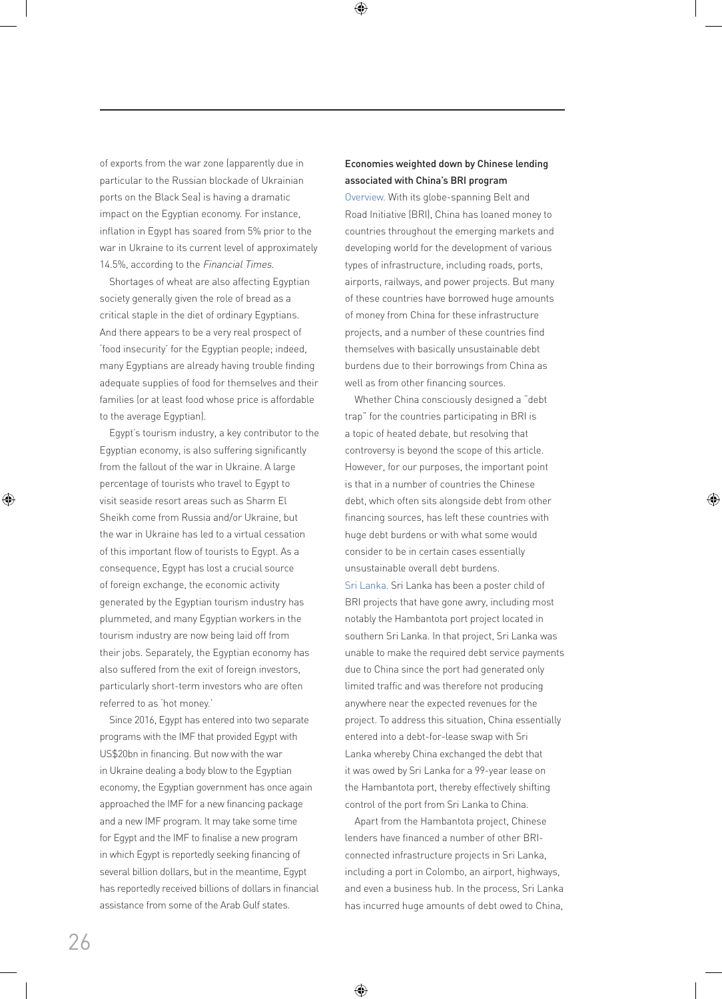of exports from the war zone (apparently due in particular to the Russian blockade of Ukrainian ports on the Black Sea) is having a dramatic impact on the Egyptian economy. For instance, inflation in Egypt has soared from 5% prior to the war in Ukraine to its current level of approximately 14.5%, according to the Financial Times.

Shortages of wheat are also affecting Egyptian society generally given the role of bread as a critical staple in the diet of ordinary Egyptians. And there appears to be a very real prospect of 'food insecurity' for the Egyptian people; indeed, many Egyptians are already having trouble finding adequate supplies of food for themselves and their families (or at least food whose price is affordable to the average Egyptian).

Egypt's tourism industry, a key contributor to the Egyptian economy, is also suffering significantly from the fallout of the war in Ukraine. A large percentage of tourists who travel to Egypt to visit seaside resort areas such as Sharm El Sheikh come from Russia and/or Ukraine, but the war in Ukraine has led to a virtual cessation of this important flow of tourists to Egypt. As a consequence, Egypt has lost a crucial source of foreign exchange, the economic activity generated by the Egyptian tourism industry has plummeted, and many Egyptian workers in the tourism industry are now being laid off from their jobs. Separately, the Egyptian economy has also suffered from the exit of foreign investors, particularly short-term investors who are often referred to as 'hot money.'

Since 2016, Egypt has entered into two separate programs with the IMF that provided Egypt with US\$20bn in financing. But now with the war in Ukraine dealing a body blow to the Egyptian economy, the Egyptian government has once again approached the IMF for a new financing package and a new IMF program. It may take some time for Egypt and the IMF to finalise a new program in which Egypt is reportedly seeking financing of several billion dollars, but in the meantime, Egypt has reportedly received billions of dollars in financial assistance from some of the Arab Gulf states.

### Economies weighted down by Chinese lending associated with China's BRI program

Overview. With its globe-spanning Belt and Road Initiative (BRI), China has loaned money to countries throughout the emerging markets and developing world for the development of various types of infrastructure, including roads, ports, airports, railways, and power projects. But many of these countries have borrowed huge amounts of money from China for these infrastructure projects, and a number of these countries find themselves with basically unsustainable debt burdens due to their borrowings from China as well as from other financing sources.

Whether China consciously designed a "debt trap" for the countries participating in BRI is a topic of heated debate, but resolving that controversy is beyond the scope of this article. However, for our purposes, the important point is that in a number of countries the Chinese debt, which often sits alongside debt from other financing sources, has left these countries with huge debt burdens or with what some would consider to be in certain cases essentially unsustainable overall debt burdens.

Sri Lanka. Sri Lanka has been a poster child of BRI projects that have gone awry, including most notably the Hambantota port project located in southern Sri Lanka. In that project, Sri Lanka was unable to make the required debt service payments due to China since the port had generated only limited traffic and was therefore not producing anywhere near the expected revenues for the project. To address this situation, China essentially entered into a debt-for-lease swap with Sri Lanka whereby China exchanged the debt that it was owed by Sri Lanka for a 99-year lease on the Hambantota port, thereby effectively shifting control of the port from Sri Lanka to China.

Apart from the Hambantota project, Chinese lenders have financed a number of other BRIconnected infrastructure projects in Sri Lanka, including a port in Colombo, an airport, highways, and even a business hub. In the process, Sri Lanka has incurred huge amounts of debt owed to China,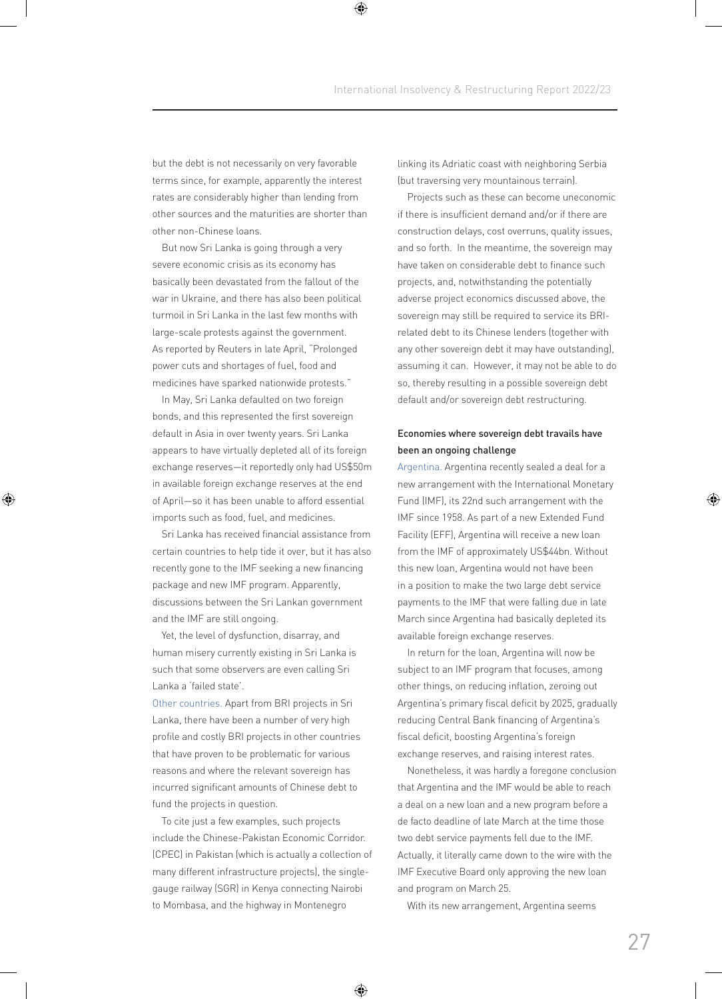but the debt is not necessarily on very favorable terms since, for example, apparently the interest rates are considerably higher than lending from other sources and the maturities are shorter than other non-Chinese loans.

But now Sri Lanka is going through a very severe economic crisis as its economy has basically been devastated from the fallout of the war in Ukraine, and there has also been political turmoil in Sri Lanka in the last few months with large-scale protests against the government. As reported by Reuters in late April, "Prolonged power cuts and shortages of fuel, food and medicines have sparked nationwide protests."

In May, Sri Lanka defaulted on two foreign bonds, and this represented the first sovereign default in Asia in over twenty years. Sri Lanka appears to have virtually depleted all of its foreign exchange reserves—it reportedly only had US\$50m in available foreign exchange reserves at the end of April—so it has been unable to afford essential imports such as food, fuel, and medicines.

Sri Lanka has received financial assistance from certain countries to help tide it over, but it has also recently gone to the IMF seeking a new financing package and new IMF program. Apparently, discussions between the Sri Lankan government and the IMF are still ongoing.

Yet, the level of dysfunction, disarray, and human misery currently existing in Sri Lanka is such that some observers are even calling Sri Lanka a 'failed state'.

Other countries. Apart from BRI projects in Sri Lanka, there have been a number of very high profile and costly BRI projects in other countries that have proven to be problematic for various reasons and where the relevant sovereign has incurred significant amounts of Chinese debt to fund the projects in question.

To cite just a few examples, such projects include the Chinese-Pakistan Economic Corridor. (CPEC) in Pakistan (which is actually a collection of many different infrastructure projects), the singlegauge railway (SGR) in Kenya connecting Nairobi to Mombasa, and the highway in Montenegro

linking its Adriatic coast with neighboring Serbia (but traversing very mountainous terrain).

Projects such as these can become uneconomic if there is insufficient demand and/or if there are construction delays, cost overruns, quality issues, and so forth. In the meantime, the sovereign may have taken on considerable debt to finance such projects, and, notwithstanding the potentially adverse project economics discussed above, the sovereign may still be required to service its BRIrelated debt to its Chinese lenders (together with any other sovereign debt it may have outstanding), assuming it can. However, it may not be able to do so, thereby resulting in a possible sovereign debt default and/or sovereign debt restructuring.

#### Economies where sovereign debt travails have been an ongoing challenge

Argentina. Argentina recently sealed a deal for a new arrangement with the International Monetary Fund (IMF), its 22nd such arrangement with the IMF since 1958. As part of a new Extended Fund Facility (EFF), Argentina will receive a new loan from the IMF of approximately US\$44bn. Without this new loan, Argentina would not have been in a position to make the two large debt service payments to the IMF that were falling due in late March since Argentina had basically depleted its available foreign exchange reserves.

In return for the loan, Argentina will now be subject to an IMF program that focuses, among other things, on reducing inflation, zeroing out Argentina's primary fiscal deficit by 2025, gradually reducing Central Bank financing of Argentina's fiscal deficit, boosting Argentina's foreign exchange reserves, and raising interest rates.

Nonetheless, it was hardly a foregone conclusion that Argentina and the IMF would be able to reach a deal on a new loan and a new program before a de facto deadline of late March at the time those two debt service payments fell due to the IMF. Actually, it literally came down to the wire with the IMF Executive Board only approving the new loan and program on March 25.

With its new arrangement, Argentina seems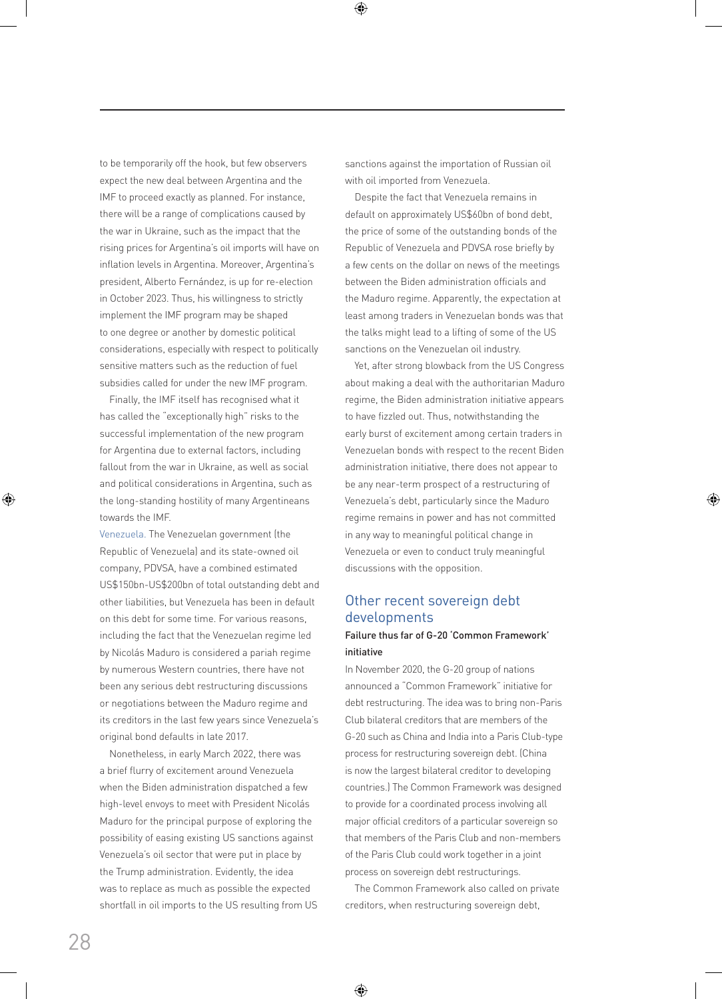to be temporarily off the hook, but few observers expect the new deal between Argentina and the IMF to proceed exactly as planned. For instance, there will be a range of complications caused by the war in Ukraine, such as the impact that the rising prices for Argentina's oil imports will have on inflation levels in Argentina. Moreover, Argentina's president, Alberto Fernández, is up for re-election in October 2023. Thus, his willingness to strictly implement the IMF program may be shaped to one degree or another by domestic political considerations, especially with respect to politically sensitive matters such as the reduction of fuel subsidies called for under the new IMF program.

Finally, the IMF itself has recognised what it has called the "exceptionally high" risks to the successful implementation of the new program for Argentina due to external factors, including fallout from the war in Ukraine, as well as social and political considerations in Argentina, such as the long-standing hostility of many Argentineans towards the IMF.

Venezuela. The Venezuelan government (the Republic of Venezuela) and its state-owned oil company, PDVSA, have a combined estimated US\$150bn-US\$200bn of total outstanding debt and other liabilities, but Venezuela has been in default on this debt for some time. For various reasons, including the fact that the Venezuelan regime led by Nicolás Maduro is considered a pariah regime by numerous Western countries, there have not been any serious debt restructuring discussions or negotiations between the Maduro regime and its creditors in the last few years since Venezuela's original bond defaults in late 2017.

Nonetheless, in early March 2022, there was a brief flurry of excitement around Venezuela when the Biden administration dispatched a few high-level envoys to meet with President Nicolás Maduro for the principal purpose of exploring the possibility of easing existing US sanctions against Venezuela's oil sector that were put in place by the Trump administration. Evidently, the idea was to replace as much as possible the expected shortfall in oil imports to the US resulting from US

sanctions against the importation of Russian oil with oil imported from Venezuela.

Despite the fact that Venezuela remains in default on approximately US\$60bn of bond debt, the price of some of the outstanding bonds of the Republic of Venezuela and PDVSA rose briefly by a few cents on the dollar on news of the meetings between the Biden administration officials and the Maduro regime. Apparently, the expectation at least among traders in Venezuelan bonds was that the talks might lead to a lifting of some of the US sanctions on the Venezuelan oil industry.

Yet, after strong blowback from the US Congress about making a deal with the authoritarian Maduro regime, the Biden administration initiative appears to have fizzled out. Thus, notwithstanding the early burst of excitement among certain traders in Venezuelan bonds with respect to the recent Biden administration initiative, there does not appear to be any near-term prospect of a restructuring of Venezuela's debt, particularly since the Maduro regime remains in power and has not committed in any way to meaningful political change in Venezuela or even to conduct truly meaningful discussions with the opposition.

## Other recent sovereign debt developments

#### Failure thus far of G-20 'Common Framework' initiative

In November 2020, the G-20 group of nations announced a "Common Framework" initiative for debt restructuring. The idea was to bring non-Paris Club bilateral creditors that are members of the G-20 such as China and India into a Paris Club-type process for restructuring sovereign debt. (China is now the largest bilateral creditor to developing countries.) The Common Framework was designed to provide for a coordinated process involving all major official creditors of a particular sovereign so that members of the Paris Club and non-members of the Paris Club could work together in a joint process on sovereign debt restructurings.

The Common Framework also called on private creditors, when restructuring sovereign debt,